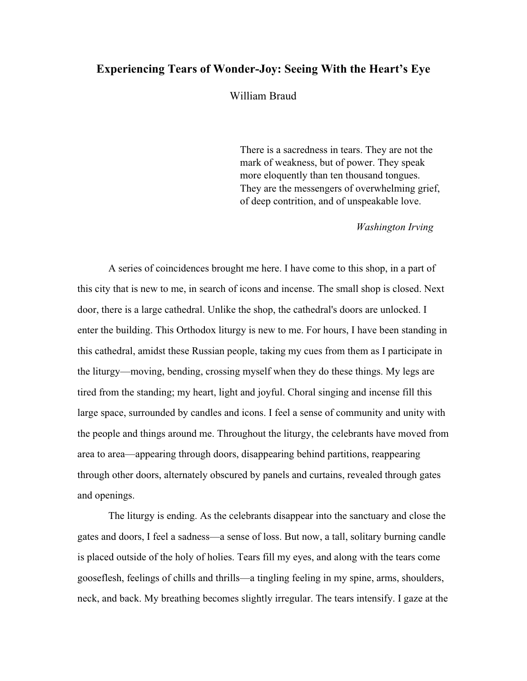# **Experiencing Tears of Wonder-Joy: Seeing With the Heart's Eye**

William Braud

There is a sacredness in tears. They are not the mark of weakness, but of power. They speak more eloquently than ten thousand tongues. They are the messengers of overwhelming grief, of deep contrition, and of unspeakable love.

*Washington Irving*

A series of coincidences brought me here. I have come to this shop, in a part of this city that is new to me, in search of icons and incense. The small shop is closed. Next door, there is a large cathedral. Unlike the shop, the cathedral's doors are unlocked. I enter the building. This Orthodox liturgy is new to me. For hours, I have been standing in this cathedral, amidst these Russian people, taking my cues from them as I participate in the liturgy—moving, bending, crossing myself when they do these things. My legs are tired from the standing; my heart, light and joyful. Choral singing and incense fill this large space, surrounded by candles and icons. I feel a sense of community and unity with the people and things around me. Throughout the liturgy, the celebrants have moved from area to area—appearing through doors, disappearing behind partitions, reappearing through other doors, alternately obscured by panels and curtains, revealed through gates and openings.

The liturgy is ending. As the celebrants disappear into the sanctuary and close the gates and doors, I feel a sadness—a sense of loss. But now, a tall, solitary burning candle is placed outside of the holy of holies. Tears fill my eyes, and along with the tears come gooseflesh, feelings of chills and thrills—a tingling feeling in my spine, arms, shoulders, neck, and back. My breathing becomes slightly irregular. The tears intensify. I gaze at the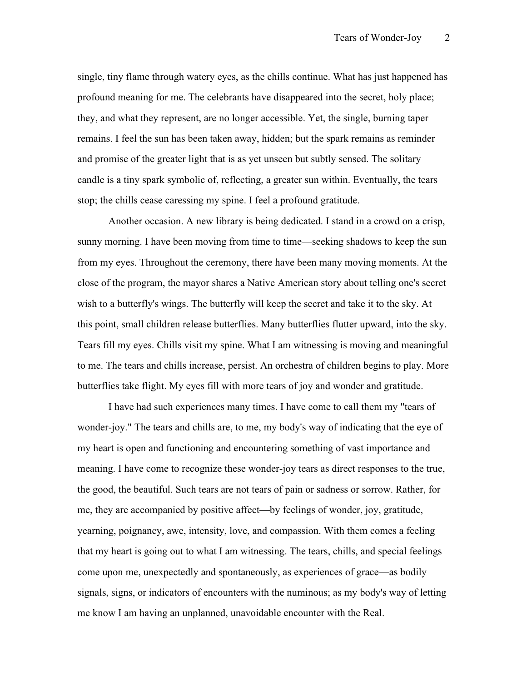single, tiny flame through watery eyes, as the chills continue. What has just happened has profound meaning for me. The celebrants have disappeared into the secret, holy place; they, and what they represent, are no longer accessible. Yet, the single, burning taper remains. I feel the sun has been taken away, hidden; but the spark remains as reminder and promise of the greater light that is as yet unseen but subtly sensed. The solitary candle is a tiny spark symbolic of, reflecting, a greater sun within. Eventually, the tears stop; the chills cease caressing my spine. I feel a profound gratitude.

Another occasion. A new library is being dedicated. I stand in a crowd on a crisp, sunny morning. I have been moving from time to time—seeking shadows to keep the sun from my eyes. Throughout the ceremony, there have been many moving moments. At the close of the program, the mayor shares a Native American story about telling one's secret wish to a butterfly's wings. The butterfly will keep the secret and take it to the sky. At this point, small children release butterflies. Many butterflies flutter upward, into the sky. Tears fill my eyes. Chills visit my spine. What I am witnessing is moving and meaningful to me. The tears and chills increase, persist. An orchestra of children begins to play. More butterflies take flight. My eyes fill with more tears of joy and wonder and gratitude.

I have had such experiences many times. I have come to call them my "tears of wonder-joy." The tears and chills are, to me, my body's way of indicating that the eye of my heart is open and functioning and encountering something of vast importance and meaning. I have come to recognize these wonder-joy tears as direct responses to the true, the good, the beautiful. Such tears are not tears of pain or sadness or sorrow. Rather, for me, they are accompanied by positive affect—by feelings of wonder, joy, gratitude, yearning, poignancy, awe, intensity, love, and compassion. With them comes a feeling that my heart is going out to what I am witnessing. The tears, chills, and special feelings come upon me, unexpectedly and spontaneously, as experiences of grace—as bodily signals, signs, or indicators of encounters with the numinous; as my body's way of letting me know I am having an unplanned, unavoidable encounter with the Real.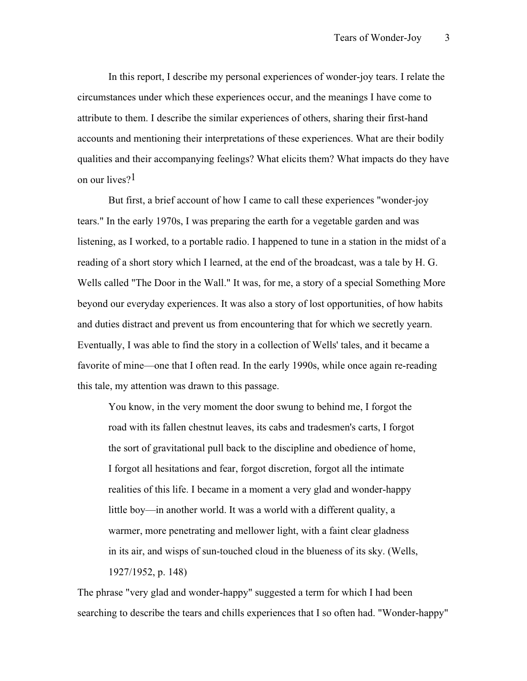In this report, I describe my personal experiences of wonder-joy tears. I relate the circumstances under which these experiences occur, and the meanings I have come to attribute to them. I describe the similar experiences of others, sharing their first-hand accounts and mentioning their interpretations of these experiences. What are their bodily qualities and their accompanying feelings? What elicits them? What impacts do they have on our lives?<sup>1</sup>

But first, a brief account of how I came to call these experiences "wonder-joy tears." In the early 1970s, I was preparing the earth for a vegetable garden and was listening, as I worked, to a portable radio. I happened to tune in a station in the midst of a reading of a short story which I learned, at the end of the broadcast, was a tale by H. G. Wells called "The Door in the Wall." It was, for me, a story of a special Something More beyond our everyday experiences. It was also a story of lost opportunities, of how habits and duties distract and prevent us from encountering that for which we secretly yearn. Eventually, I was able to find the story in a collection of Wells' tales, and it became a favorite of mine—one that I often read. In the early 1990s, while once again re-reading this tale, my attention was drawn to this passage.

You know, in the very moment the door swung to behind me, I forgot the road with its fallen chestnut leaves, its cabs and tradesmen's carts, I forgot the sort of gravitational pull back to the discipline and obedience of home, I forgot all hesitations and fear, forgot discretion, forgot all the intimate realities of this life. I became in a moment a very glad and wonder-happy little boy—in another world. It was a world with a different quality, a warmer, more penetrating and mellower light, with a faint clear gladness in its air, and wisps of sun-touched cloud in the blueness of its sky. (Wells, 1927/1952, p. 148)

The phrase "very glad and wonder-happy" suggested a term for which I had been searching to describe the tears and chills experiences that I so often had. "Wonder-happy"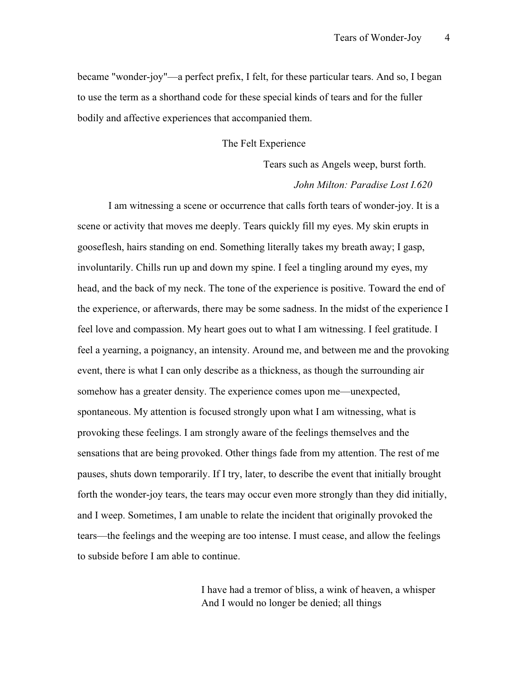became "wonder-joy"—a perfect prefix, I felt, for these particular tears. And so, I began to use the term as a shorthand code for these special kinds of tears and for the fuller bodily and affective experiences that accompanied them.

### The Felt Experience

Tears such as Angels weep, burst forth. *John Milton: Paradise Lost I.620*

I am witnessing a scene or occurrence that calls forth tears of wonder-joy. It is a scene or activity that moves me deeply. Tears quickly fill my eyes. My skin erupts in gooseflesh, hairs standing on end. Something literally takes my breath away; I gasp, involuntarily. Chills run up and down my spine. I feel a tingling around my eyes, my head, and the back of my neck. The tone of the experience is positive. Toward the end of the experience, or afterwards, there may be some sadness. In the midst of the experience I feel love and compassion. My heart goes out to what I am witnessing. I feel gratitude. I feel a yearning, a poignancy, an intensity. Around me, and between me and the provoking event, there is what I can only describe as a thickness, as though the surrounding air somehow has a greater density. The experience comes upon me—unexpected, spontaneous. My attention is focused strongly upon what I am witnessing, what is provoking these feelings. I am strongly aware of the feelings themselves and the sensations that are being provoked. Other things fade from my attention. The rest of me pauses, shuts down temporarily. If I try, later, to describe the event that initially brought forth the wonder-joy tears, the tears may occur even more strongly than they did initially, and I weep. Sometimes, I am unable to relate the incident that originally provoked the tears—the feelings and the weeping are too intense. I must cease, and allow the feelings to subside before I am able to continue.

> I have had a tremor of bliss, a wink of heaven, a whisper And I would no longer be denied; all things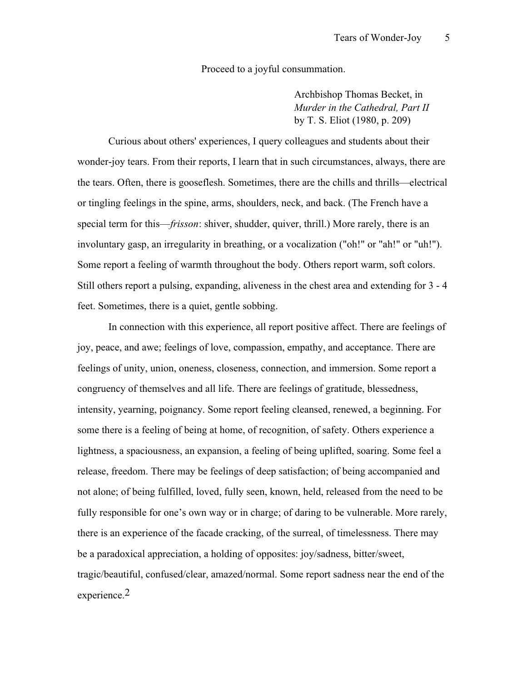Proceed to a joyful consummation.

Archbishop Thomas Becket, in *Murder in the Cathedral, Part II* by T. S. Eliot (1980, p. 209)

Curious about others' experiences, I query colleagues and students about their wonder-joy tears. From their reports, I learn that in such circumstances, always, there are the tears. Often, there is gooseflesh. Sometimes, there are the chills and thrills—electrical or tingling feelings in the spine, arms, shoulders, neck, and back. (The French have a special term for this—*frisson*: shiver, shudder, quiver, thrill.) More rarely, there is an involuntary gasp, an irregularity in breathing, or a vocalization ("oh!" or "ah!" or "uh!"). Some report a feeling of warmth throughout the body. Others report warm, soft colors. Still others report a pulsing, expanding, aliveness in the chest area and extending for 3 - 4 feet. Sometimes, there is a quiet, gentle sobbing.

In connection with this experience, all report positive affect. There are feelings of joy, peace, and awe; feelings of love, compassion, empathy, and acceptance. There are feelings of unity, union, oneness, closeness, connection, and immersion. Some report a congruency of themselves and all life. There are feelings of gratitude, blessedness, intensity, yearning, poignancy. Some report feeling cleansed, renewed, a beginning. For some there is a feeling of being at home, of recognition, of safety. Others experience a lightness, a spaciousness, an expansion, a feeling of being uplifted, soaring. Some feel a release, freedom. There may be feelings of deep satisfaction; of being accompanied and not alone; of being fulfilled, loved, fully seen, known, held, released from the need to be fully responsible for one's own way or in charge; of daring to be vulnerable. More rarely, there is an experience of the facade cracking, of the surreal, of timelessness. There may be a paradoxical appreciation, a holding of opposites: joy/sadness, bitter/sweet, tragic/beautiful, confused/clear, amazed/normal. Some report sadness near the end of the experience.2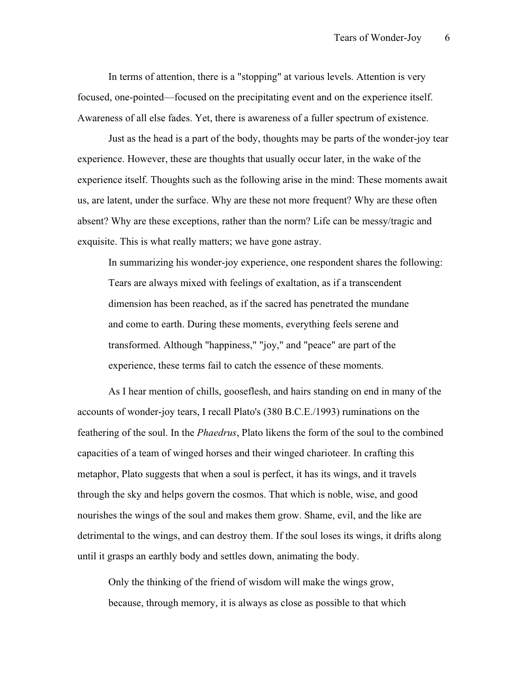In terms of attention, there is a "stopping" at various levels. Attention is very focused, one-pointed—focused on the precipitating event and on the experience itself. Awareness of all else fades. Yet, there is awareness of a fuller spectrum of existence.

Just as the head is a part of the body, thoughts may be parts of the wonder-joy tear experience. However, these are thoughts that usually occur later, in the wake of the experience itself. Thoughts such as the following arise in the mind: These moments await us, are latent, under the surface. Why are these not more frequent? Why are these often absent? Why are these exceptions, rather than the norm? Life can be messy/tragic and exquisite. This is what really matters; we have gone astray.

In summarizing his wonder-joy experience, one respondent shares the following: Tears are always mixed with feelings of exaltation, as if a transcendent dimension has been reached, as if the sacred has penetrated the mundane and come to earth. During these moments, everything feels serene and transformed. Although "happiness," "joy," and "peace" are part of the experience, these terms fail to catch the essence of these moments.

As I hear mention of chills, gooseflesh, and hairs standing on end in many of the accounts of wonder-joy tears, I recall Plato's (380 B.C.E./1993) ruminations on the feathering of the soul. In the *Phaedrus*, Plato likens the form of the soul to the combined capacities of a team of winged horses and their winged charioteer. In crafting this metaphor, Plato suggests that when a soul is perfect, it has its wings, and it travels through the sky and helps govern the cosmos. That which is noble, wise, and good nourishes the wings of the soul and makes them grow. Shame, evil, and the like are detrimental to the wings, and can destroy them. If the soul loses its wings, it drifts along until it grasps an earthly body and settles down, animating the body.

Only the thinking of the friend of wisdom will make the wings grow, because, through memory, it is always as close as possible to that which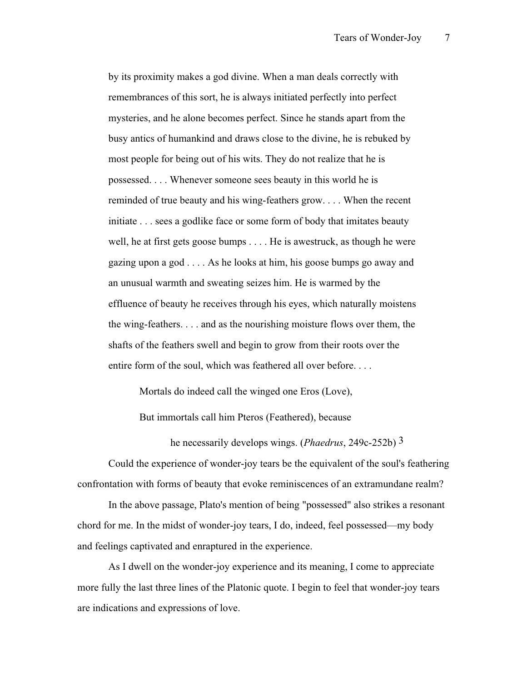by its proximity makes a god divine. When a man deals correctly with remembrances of this sort, he is always initiated perfectly into perfect mysteries, and he alone becomes perfect. Since he stands apart from the busy antics of humankind and draws close to the divine, he is rebuked by most people for being out of his wits. They do not realize that he is possessed. . . . Whenever someone sees beauty in this world he is reminded of true beauty and his wing-feathers grow. . . . When the recent initiate . . . sees a godlike face or some form of body that imitates beauty well, he at first gets goose bumps . . . . He is awestruck, as though he were gazing upon a god . . . . As he looks at him, his goose bumps go away and an unusual warmth and sweating seizes him. He is warmed by the effluence of beauty he receives through his eyes, which naturally moistens the wing-feathers. . . . and as the nourishing moisture flows over them, the shafts of the feathers swell and begin to grow from their roots over the entire form of the soul, which was feathered all over before. . . .

Mortals do indeed call the winged one Eros (Love),

But immortals call him Pteros (Feathered), because

he necessarily develops wings. (*Phaedrus*, 249c-252b) 3

Could the experience of wonder-joy tears be the equivalent of the soul's feathering confrontation with forms of beauty that evoke reminiscences of an extramundane realm?

In the above passage, Plato's mention of being "possessed" also strikes a resonant chord for me. In the midst of wonder-joy tears, I do, indeed, feel possessed—my body and feelings captivated and enraptured in the experience.

As I dwell on the wonder-joy experience and its meaning, I come to appreciate more fully the last three lines of the Platonic quote. I begin to feel that wonder-joy tears are indications and expressions of love.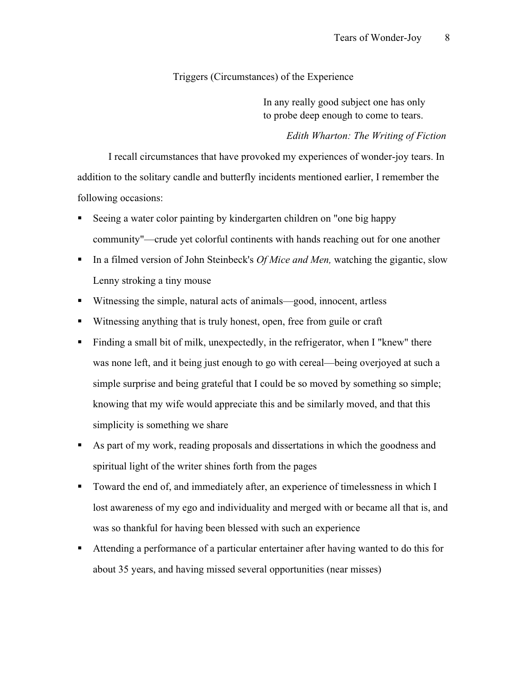## Triggers (Circumstances) of the Experience

In any really good subject one has only to probe deep enough to come to tears.

### *Edith Wharton: The Writing of Fiction*

I recall circumstances that have provoked my experiences of wonder-joy tears. In addition to the solitary candle and butterfly incidents mentioned earlier, I remember the following occasions:

- Seeing a water color painting by kindergarten children on "one big happy community"—crude yet colorful continents with hands reaching out for one another
- In a filmed version of John Steinbeck's *Of Mice and Men*, watching the gigantic, slow Lenny stroking a tiny mouse
- Witnessing the simple, natural acts of animals—good, innocent, artless
- Witnessing anything that is truly honest, open, free from guile or craft
- Finding a small bit of milk, unexpectedly, in the refrigerator, when I "knew" there was none left, and it being just enough to go with cereal—being overjoyed at such a simple surprise and being grateful that I could be so moved by something so simple; knowing that my wife would appreciate this and be similarly moved, and that this simplicity is something we share
- As part of my work, reading proposals and dissertations in which the goodness and spiritual light of the writer shines forth from the pages
- Toward the end of, and immediately after, an experience of timelessness in which I lost awareness of my ego and individuality and merged with or became all that is, and was so thankful for having been blessed with such an experience
- Attending a performance of a particular entertainer after having wanted to do this for about 35 years, and having missed several opportunities (near misses)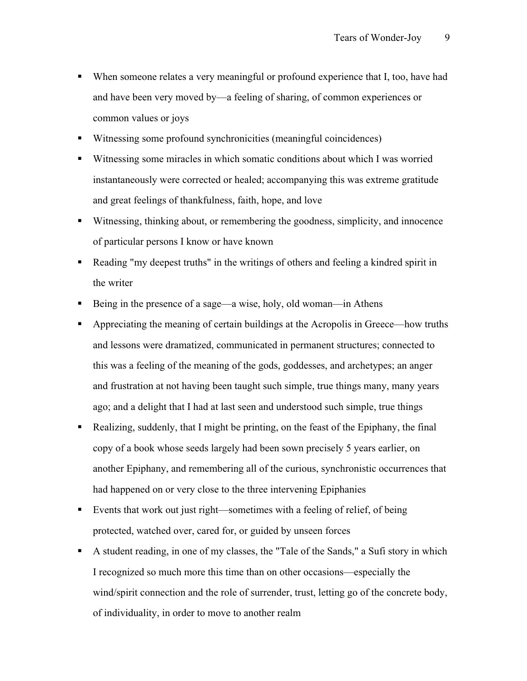- When someone relates a very meaningful or profound experience that I, too, have had and have been very moved by—a feeling of sharing, of common experiences or common values or joys
- Witnessing some profound synchronicities (meaningful coincidences)
- Witnessing some miracles in which somatic conditions about which I was worried instantaneously were corrected or healed; accompanying this was extreme gratitude and great feelings of thankfulness, faith, hope, and love
- Witnessing, thinking about, or remembering the goodness, simplicity, and innocence of particular persons I know or have known
- Reading "my deepest truths" in the writings of others and feeling a kindred spirit in the writer
- Being in the presence of a sage—a wise, holy, old woman—in Athens
- Appreciating the meaning of certain buildings at the Acropolis in Greece—how truths and lessons were dramatized, communicated in permanent structures; connected to this was a feeling of the meaning of the gods, goddesses, and archetypes; an anger and frustration at not having been taught such simple, true things many, many years ago; and a delight that I had at last seen and understood such simple, true things
- Realizing, suddenly, that I might be printing, on the feast of the Epiphany, the final copy of a book whose seeds largely had been sown precisely 5 years earlier, on another Epiphany, and remembering all of the curious, synchronistic occurrences that had happened on or very close to the three intervening Epiphanies
- Events that work out just right—sometimes with a feeling of relief, of being protected, watched over, cared for, or guided by unseen forces
- A student reading, in one of my classes, the "Tale of the Sands," a Sufi story in which I recognized so much more this time than on other occasions—especially the wind/spirit connection and the role of surrender, trust, letting go of the concrete body, of individuality, in order to move to another realm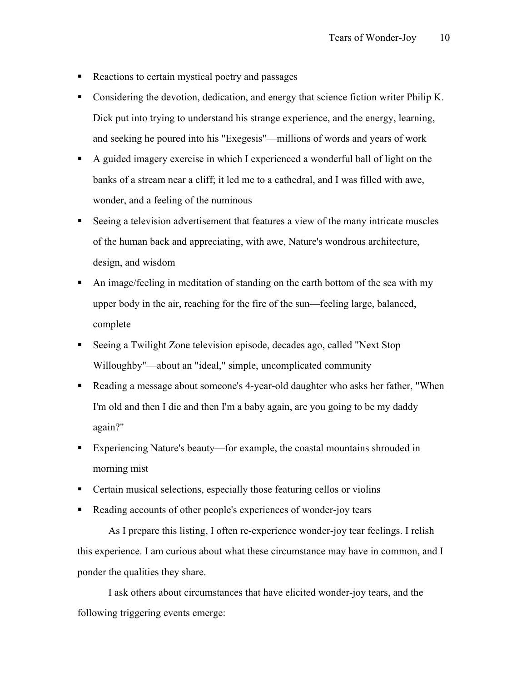- Reactions to certain mystical poetry and passages
- Considering the devotion, dedication, and energy that science fiction writer Philip K. Dick put into trying to understand his strange experience, and the energy, learning, and seeking he poured into his "Exegesis"—millions of words and years of work
- A guided imagery exercise in which I experienced a wonderful ball of light on the banks of a stream near a cliff; it led me to a cathedral, and I was filled with awe, wonder, and a feeling of the numinous
- Seeing a television advertisement that features a view of the many intricate muscles of the human back and appreciating, with awe, Nature's wondrous architecture, design, and wisdom
- An image/feeling in meditation of standing on the earth bottom of the sea with my upper body in the air, reaching for the fire of the sun—feeling large, balanced, complete
- Seeing a Twilight Zone television episode, decades ago, called "Next Stop Willoughby"—about an "ideal," simple, uncomplicated community
- Reading a message about someone's 4-year-old daughter who asks her father, "When I'm old and then I die and then I'm a baby again, are you going to be my daddy again?"
- Experiencing Nature's beauty—for example, the coastal mountains shrouded in morning mist
- Certain musical selections, especially those featuring cellos or violins
- Reading accounts of other people's experiences of wonder-joy tears

As I prepare this listing, I often re-experience wonder-joy tear feelings. I relish this experience. I am curious about what these circumstance may have in common, and I ponder the qualities they share.

I ask others about circumstances that have elicited wonder-joy tears, and the following triggering events emerge: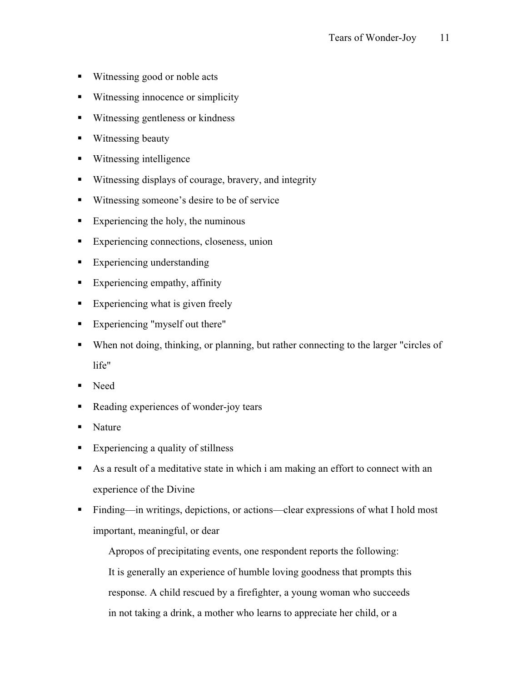- Witnessing good or noble acts
- Witnessing innocence or simplicity
- Witnessing gentleness or kindness
- Witnessing beauty
- Witnessing intelligence
- Witnessing displays of courage, bravery, and integrity
- Witnessing someone's desire to be of service
- Experiencing the holy, the numinous
- Experiencing connections, closeness, union
- **Experiencing understanding**
- **Experiencing empathy, affinity**
- Experiencing what is given freely
- Experiencing "myself out there"
- When not doing, thinking, or planning, but rather connecting to the larger "circles of life"
- Need
- Reading experiences of wonder-joy tears
- Nature
- Experiencing a quality of stillness
- As a result of a meditative state in which i am making an effort to connect with an experience of the Divine
- Finding—in writings, depictions, or actions—clear expressions of what I hold most important, meaningful, or dear

Apropos of precipitating events, one respondent reports the following: It is generally an experience of humble loving goodness that prompts this response. A child rescued by a firefighter, a young woman who succeeds in not taking a drink, a mother who learns to appreciate her child, or a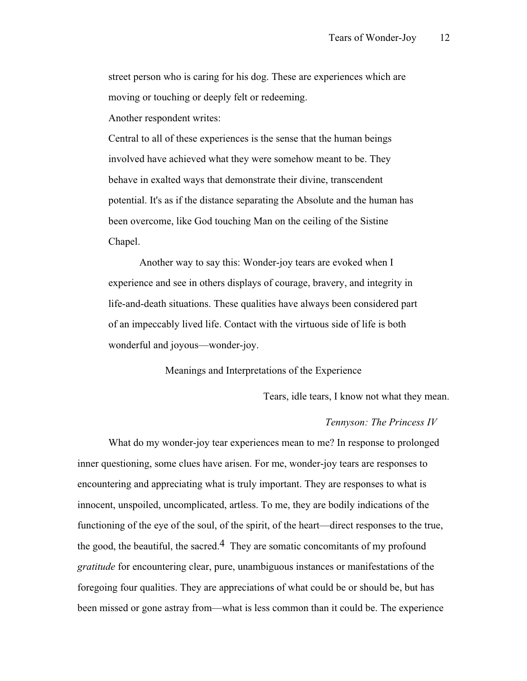street person who is caring for his dog. These are experiences which are moving or touching or deeply felt or redeeming.

Another respondent writes:

Central to all of these experiences is the sense that the human beings involved have achieved what they were somehow meant to be. They behave in exalted ways that demonstrate their divine, transcendent potential. It's as if the distance separating the Absolute and the human has been overcome, like God touching Man on the ceiling of the Sistine Chapel.

Another way to say this: Wonder-joy tears are evoked when I experience and see in others displays of courage, bravery, and integrity in life-and-death situations. These qualities have always been considered part of an impeccably lived life. Contact with the virtuous side of life is both wonderful and joyous—wonder-joy.

Meanings and Interpretations of the Experience

Tears, idle tears, I know not what they mean.

#### *Tennyson: The Princess IV*

What do my wonder-joy tear experiences mean to me? In response to prolonged inner questioning, some clues have arisen. For me, wonder-joy tears are responses to encountering and appreciating what is truly important. They are responses to what is innocent, unspoiled, uncomplicated, artless. To me, they are bodily indications of the functioning of the eye of the soul, of the spirit, of the heart—direct responses to the true, the good, the beautiful, the sacred.<sup>4</sup> They are somatic concomitants of my profound *gratitude* for encountering clear, pure, unambiguous instances or manifestations of the foregoing four qualities. They are appreciations of what could be or should be, but has been missed or gone astray from—what is less common than it could be. The experience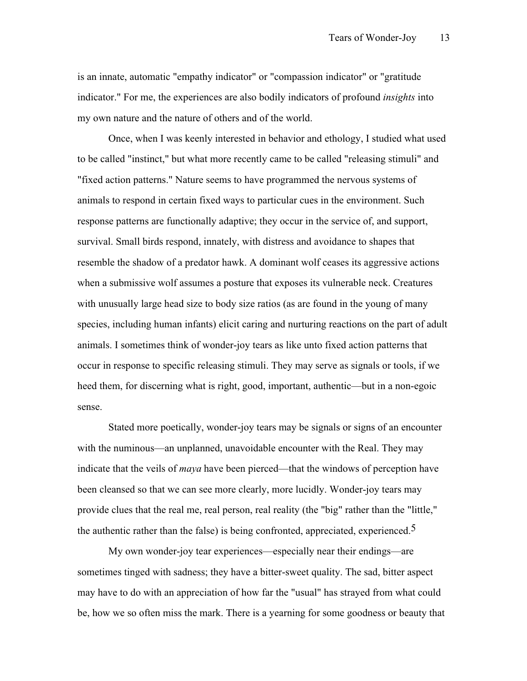is an innate, automatic "empathy indicator" or "compassion indicator" or "gratitude indicator." For me, the experiences are also bodily indicators of profound *insights* into my own nature and the nature of others and of the world.

Once, when I was keenly interested in behavior and ethology, I studied what used to be called "instinct," but what more recently came to be called "releasing stimuli" and "fixed action patterns." Nature seems to have programmed the nervous systems of animals to respond in certain fixed ways to particular cues in the environment. Such response patterns are functionally adaptive; they occur in the service of, and support, survival. Small birds respond, innately, with distress and avoidance to shapes that resemble the shadow of a predator hawk. A dominant wolf ceases its aggressive actions when a submissive wolf assumes a posture that exposes its vulnerable neck. Creatures with unusually large head size to body size ratios (as are found in the young of many species, including human infants) elicit caring and nurturing reactions on the part of adult animals. I sometimes think of wonder-joy tears as like unto fixed action patterns that occur in response to specific releasing stimuli. They may serve as signals or tools, if we heed them, for discerning what is right, good, important, authentic—but in a non-egoic sense.

Stated more poetically, wonder-joy tears may be signals or signs of an encounter with the numinous—an unplanned, unavoidable encounter with the Real. They may indicate that the veils of *maya* have been pierced—that the windows of perception have been cleansed so that we can see more clearly, more lucidly. Wonder-joy tears may provide clues that the real me, real person, real reality (the "big" rather than the "little," the authentic rather than the false) is being confronted, appreciated, experienced.<sup>5</sup>

My own wonder-joy tear experiences—especially near their endings—are sometimes tinged with sadness; they have a bitter-sweet quality. The sad, bitter aspect may have to do with an appreciation of how far the "usual" has strayed from what could be, how we so often miss the mark. There is a yearning for some goodness or beauty that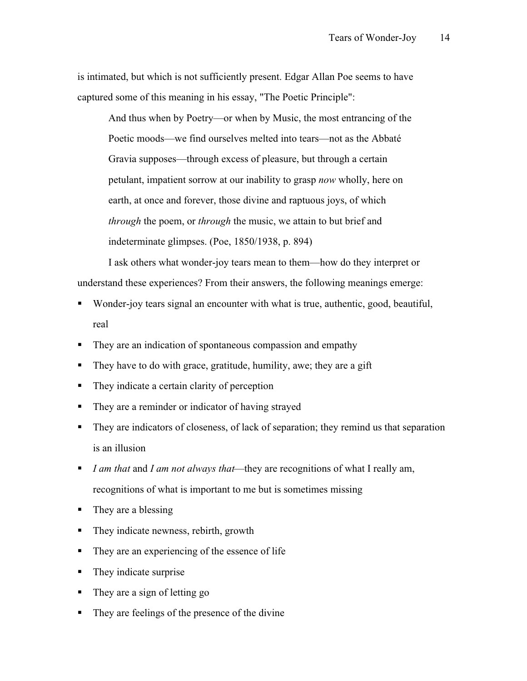is intimated, but which is not sufficiently present. Edgar Allan Poe seems to have captured some of this meaning in his essay, "The Poetic Principle":

And thus when by Poetry—or when by Music, the most entrancing of the Poetic moods—we find ourselves melted into tears—not as the Abbaté Gravia supposes—through excess of pleasure, but through a certain petulant, impatient sorrow at our inability to grasp *now* wholly, here on earth, at once and forever, those divine and raptuous joys, of which *through* the poem, or *through* the music, we attain to but brief and indeterminate glimpses. (Poe, 1850/1938, p. 894)

I ask others what wonder-joy tears mean to them—how do they interpret or understand these experiences? From their answers, the following meanings emerge:

- Wonder-joy tears signal an encounter with what is true, authentic, good, beautiful, real
- They are an indication of spontaneous compassion and empathy
- They have to do with grace, gratitude, humility, awe; they are a gift
- They indicate a certain clarity of perception
- They are a reminder or indicator of having strayed
- They are indicators of closeness, of lack of separation; they remind us that separation is an illusion
- *I am that* and *I am not always that*—they are recognitions of what I really am, recognitions of what is important to me but is sometimes missing
- They are a blessing
- They indicate newness, rebirth, growth
- They are an experiencing of the essence of life
- They indicate surprise
- They are a sign of letting go
- They are feelings of the presence of the divine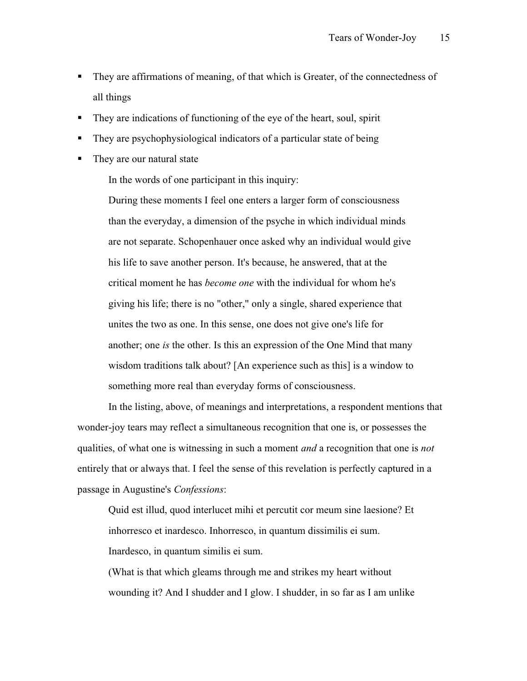- They are affirmations of meaning, of that which is Greater, of the connectedness of all things
- They are indications of functioning of the eye of the heart, soul, spirit
- They are psychophysiological indicators of a particular state of being
- They are our natural state

In the words of one participant in this inquiry:

During these moments I feel one enters a larger form of consciousness than the everyday, a dimension of the psyche in which individual minds are not separate. Schopenhauer once asked why an individual would give his life to save another person. It's because, he answered, that at the critical moment he has *become one* with the individual for whom he's giving his life; there is no "other," only a single, shared experience that unites the two as one. In this sense, one does not give one's life for another; one *is* the other. Is this an expression of the One Mind that many wisdom traditions talk about? [An experience such as this] is a window to something more real than everyday forms of consciousness.

In the listing, above, of meanings and interpretations, a respondent mentions that wonder-joy tears may reflect a simultaneous recognition that one is, or possesses the qualities, of what one is witnessing in such a moment *and* a recognition that one is *not* entirely that or always that. I feel the sense of this revelation is perfectly captured in a passage in Augustine's *Confessions*:

Quid est illud, quod interlucet mihi et percutit cor meum sine laesione? Et inhorresco et inardesco. Inhorresco, in quantum dissimilis ei sum. Inardesco, in quantum similis ei sum.

(What is that which gleams through me and strikes my heart without wounding it? And I shudder and I glow. I shudder, in so far as I am unlike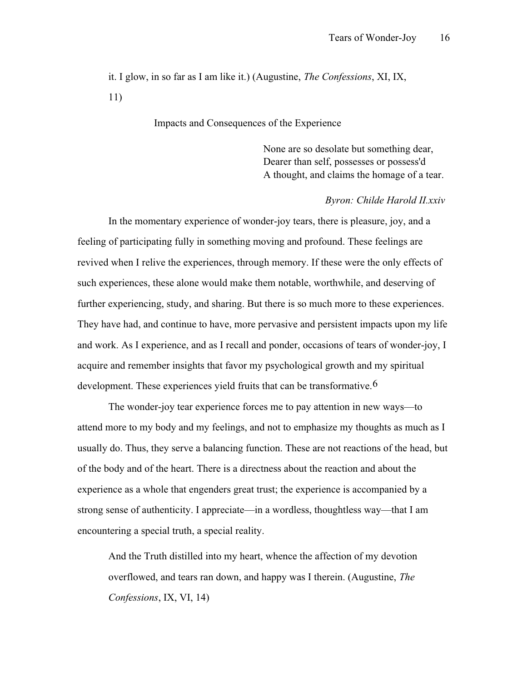it. I glow, in so far as I am like it.) (Augustine, *The Confessions*, XI, IX, 11)

Impacts and Consequences of the Experience

None are so desolate but something dear, Dearer than self, possesses or possess'd A thought, and claims the homage of a tear.

#### *Byron: Childe Harold II.xxiv*

In the momentary experience of wonder-joy tears, there is pleasure, joy, and a feeling of participating fully in something moving and profound. These feelings are revived when I relive the experiences, through memory. If these were the only effects of such experiences, these alone would make them notable, worthwhile, and deserving of further experiencing, study, and sharing. But there is so much more to these experiences. They have had, and continue to have, more pervasive and persistent impacts upon my life and work. As I experience, and as I recall and ponder, occasions of tears of wonder-joy, I acquire and remember insights that favor my psychological growth and my spiritual development. These experiences yield fruits that can be transformative.<sup>6</sup>

The wonder-joy tear experience forces me to pay attention in new ways—to attend more to my body and my feelings, and not to emphasize my thoughts as much as I usually do. Thus, they serve a balancing function. These are not reactions of the head, but of the body and of the heart. There is a directness about the reaction and about the experience as a whole that engenders great trust; the experience is accompanied by a strong sense of authenticity. I appreciate—in a wordless, thoughtless way—that I am encountering a special truth, a special reality.

And the Truth distilled into my heart, whence the affection of my devotion overflowed, and tears ran down, and happy was I therein. (Augustine, *The Confessions*, IX, VI, 14)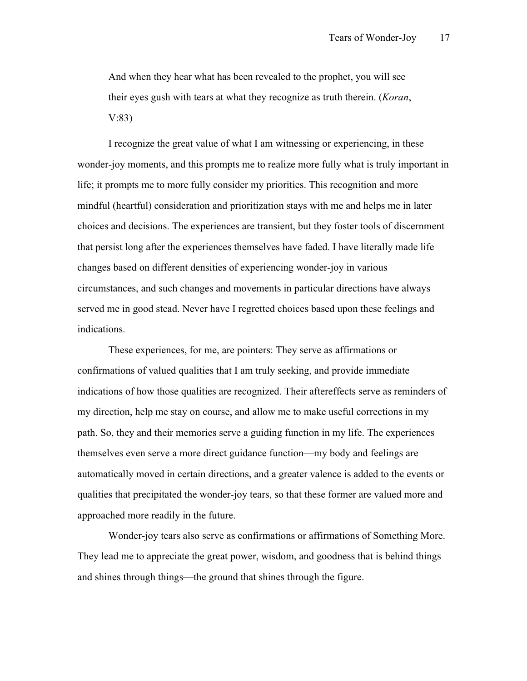And when they hear what has been revealed to the prophet, you will see their eyes gush with tears at what they recognize as truth therein. (*Koran*, V:83)

I recognize the great value of what I am witnessing or experiencing, in these wonder-joy moments, and this prompts me to realize more fully what is truly important in life; it prompts me to more fully consider my priorities. This recognition and more mindful (heartful) consideration and prioritization stays with me and helps me in later choices and decisions. The experiences are transient, but they foster tools of discernment that persist long after the experiences themselves have faded. I have literally made life changes based on different densities of experiencing wonder-joy in various circumstances, and such changes and movements in particular directions have always served me in good stead. Never have I regretted choices based upon these feelings and indications.

These experiences, for me, are pointers: They serve as affirmations or confirmations of valued qualities that I am truly seeking, and provide immediate indications of how those qualities are recognized. Their aftereffects serve as reminders of my direction, help me stay on course, and allow me to make useful corrections in my path. So, they and their memories serve a guiding function in my life. The experiences themselves even serve a more direct guidance function—my body and feelings are automatically moved in certain directions, and a greater valence is added to the events or qualities that precipitated the wonder-joy tears, so that these former are valued more and approached more readily in the future.

Wonder-joy tears also serve as confirmations or affirmations of Something More. They lead me to appreciate the great power, wisdom, and goodness that is behind things and shines through things—the ground that shines through the figure.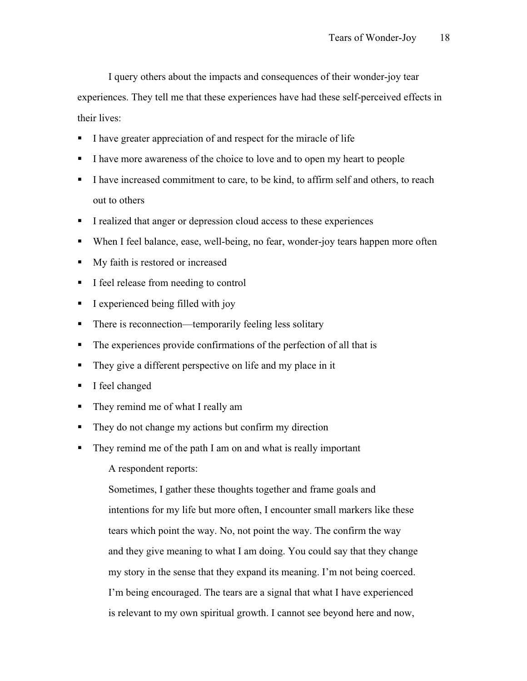I query others about the impacts and consequences of their wonder-joy tear experiences. They tell me that these experiences have had these self-perceived effects in

their lives:

- I have greater appreciation of and respect for the miracle of life
- I have more awareness of the choice to love and to open my heart to people
- I have increased commitment to care, to be kind, to affirm self and others, to reach out to others
- I realized that anger or depression cloud access to these experiences
- When I feel balance, ease, well-being, no fear, wonder-joy tears happen more often
- My faith is restored or increased
- I feel release from needing to control
- $\blacksquare$  I experienced being filled with joy
- There is reconnection—temporarily feeling less solitary
- The experiences provide confirmations of the perfection of all that is
- They give a different perspective on life and my place in it
- I feel changed
- They remind me of what I really am
- They do not change my actions but confirm my direction
- They remind me of the path I am on and what is really important

A respondent reports:

Sometimes, I gather these thoughts together and frame goals and intentions for my life but more often, I encounter small markers like these tears which point the way. No, not point the way. The confirm the way and they give meaning to what I am doing. You could say that they change my story in the sense that they expand its meaning. I'm not being coerced. I'm being encouraged. The tears are a signal that what I have experienced is relevant to my own spiritual growth. I cannot see beyond here and now,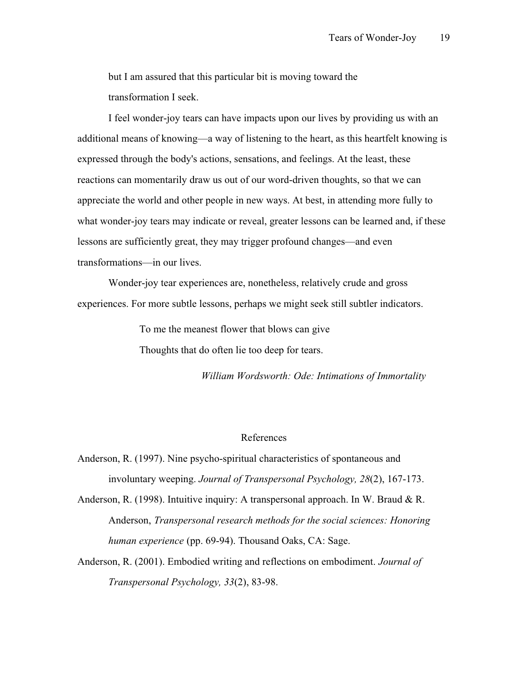but I am assured that this particular bit is moving toward the transformation I seek.

I feel wonder-joy tears can have impacts upon our lives by providing us with an additional means of knowing—a way of listening to the heart, as this heartfelt knowing is expressed through the body's actions, sensations, and feelings. At the least, these reactions can momentarily draw us out of our word-driven thoughts, so that we can appreciate the world and other people in new ways. At best, in attending more fully to what wonder-joy tears may indicate or reveal, greater lessons can be learned and, if these lessons are sufficiently great, they may trigger profound changes—and even transformations—in our lives.

Wonder-joy tear experiences are, nonetheless, relatively crude and gross experiences. For more subtle lessons, perhaps we might seek still subtler indicators.

To me the meanest flower that blows can give

Thoughts that do often lie too deep for tears.

*William Wordsworth: Ode: Intimations of Immortality*

#### References

Anderson, R. (1997). Nine psycho-spiritual characteristics of spontaneous and involuntary weeping. *Journal of Transpersonal Psychology, 28*(2), 167-173.

Anderson, R. (1998). Intuitive inquiry: A transpersonal approach. In W. Braud  $\& R$ . Anderson, *Transpersonal research methods for the social sciences: Honoring human experience* (pp. 69-94). Thousand Oaks, CA: Sage.

Anderson, R. (2001). Embodied writing and reflections on embodiment. *Journal of Transpersonal Psychology, 33*(2), 83-98.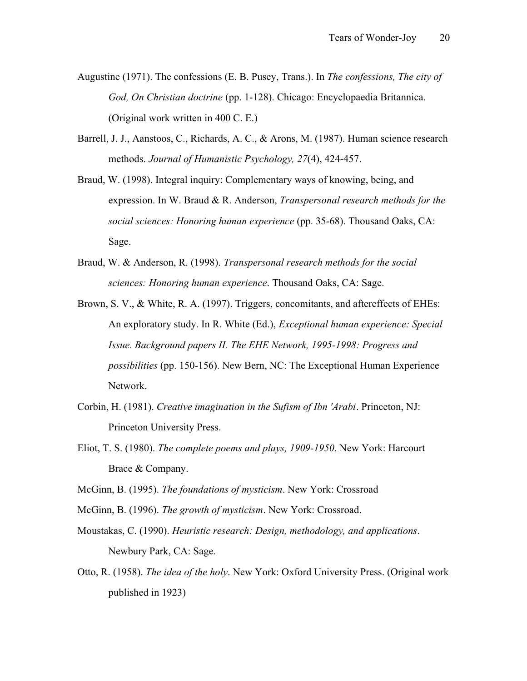- Augustine (1971). The confessions (E. B. Pusey, Trans.). In *The confessions, The city of God, On Christian doctrine* (pp. 1-128). Chicago: Encyclopaedia Britannica. (Original work written in 400 C. E.)
- Barrell, J. J., Aanstoos, C., Richards, A. C., & Arons, M. (1987). Human science research methods. *Journal of Humanistic Psychology, 27*(4), 424-457.
- Braud, W. (1998). Integral inquiry: Complementary ways of knowing, being, and expression. In W. Braud & R. Anderson, *Transpersonal research methods for the social sciences: Honoring human experience* (pp. 35-68). Thousand Oaks, CA: Sage.
- Braud, W. & Anderson, R. (1998). *Transpersonal research methods for the social sciences: Honoring human experience*. Thousand Oaks, CA: Sage.
- Brown, S. V., & White, R. A. (1997). Triggers, concomitants, and aftereffects of EHEs: An exploratory study. In R. White (Ed.), *Exceptional human experience: Special Issue. Background papers II. The EHE Network, 1995-1998: Progress and possibilities* (pp. 150-156). New Bern, NC: The Exceptional Human Experience Network.
- Corbin, H. (1981). *Creative imagination in the Sufism of Ibn 'Arabi*. Princeton, NJ: Princeton University Press.
- Eliot, T. S. (1980). *The complete poems and plays, 1909-1950*. New York: Harcourt Brace & Company.
- McGinn, B. (1995). *The foundations of mysticism*. New York: Crossroad
- McGinn, B. (1996). *The growth of mysticism*. New York: Crossroad.
- Moustakas, C. (1990). *Heuristic research: Design, methodology, and applications*. Newbury Park, CA: Sage.
- Otto, R. (1958). *The idea of the holy*. New York: Oxford University Press. (Original work published in 1923)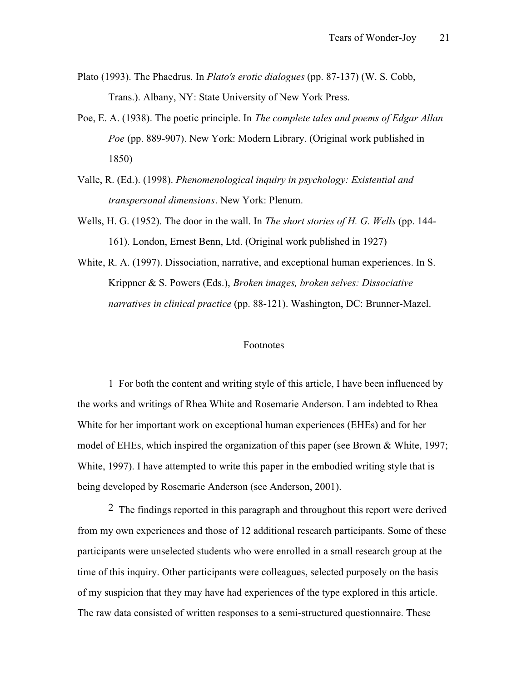- Plato (1993). The Phaedrus. In *Plato's erotic dialogues* (pp. 87-137) (W. S. Cobb, Trans.). Albany, NY: State University of New York Press.
- Poe, E. A. (1938). The poetic principle. In *The complete tales and poems of Edgar Allan Poe* (pp. 889-907). New York: Modern Library. (Original work published in 1850)
- Valle, R. (Ed.). (1998). *Phenomenological inquiry in psychology: Existential and transpersonal dimensions*. New York: Plenum.
- Wells, H. G. (1952). The door in the wall. In *The short stories of H. G. Wells* (pp. 144- 161). London, Ernest Benn, Ltd. (Original work published in 1927)
- White, R. A. (1997). Dissociation, narrative, and exceptional human experiences. In S. Krippner & S. Powers (Eds.), *Broken images, broken selves: Dissociative narratives in clinical practice* (pp. 88-121). Washington, DC: Brunner-Mazel.

## Footnotes

1 For both the content and writing style of this article, I have been influenced by the works and writings of Rhea White and Rosemarie Anderson. I am indebted to Rhea White for her important work on exceptional human experiences (EHEs) and for her model of EHEs, which inspired the organization of this paper (see Brown & White, 1997; White, 1997). I have attempted to write this paper in the embodied writing style that is being developed by Rosemarie Anderson (see Anderson, 2001).

<sup>2</sup> The findings reported in this paragraph and throughout this report were derived from my own experiences and those of 12 additional research participants. Some of these participants were unselected students who were enrolled in a small research group at the time of this inquiry. Other participants were colleagues, selected purposely on the basis of my suspicion that they may have had experiences of the type explored in this article. The raw data consisted of written responses to a semi-structured questionnaire. These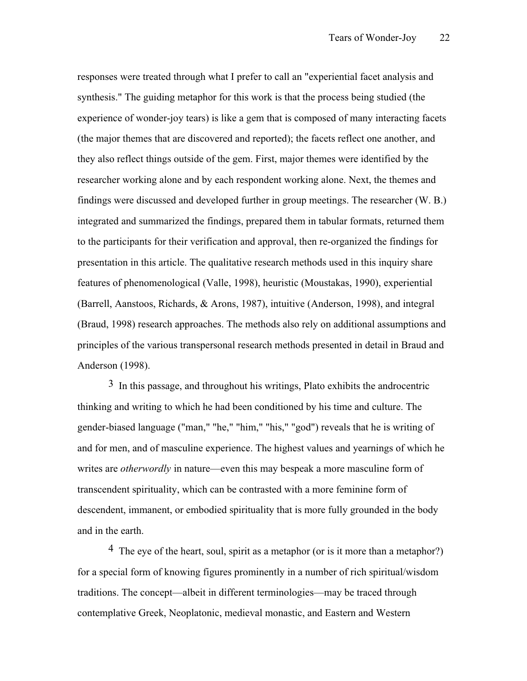responses were treated through what I prefer to call an "experiential facet analysis and synthesis." The guiding metaphor for this work is that the process being studied (the experience of wonder-joy tears) is like a gem that is composed of many interacting facets (the major themes that are discovered and reported); the facets reflect one another, and they also reflect things outside of the gem. First, major themes were identified by the researcher working alone and by each respondent working alone. Next, the themes and findings were discussed and developed further in group meetings. The researcher (W. B.) integrated and summarized the findings, prepared them in tabular formats, returned them to the participants for their verification and approval, then re-organized the findings for presentation in this article. The qualitative research methods used in this inquiry share features of phenomenological (Valle, 1998), heuristic (Moustakas, 1990), experiential (Barrell, Aanstoos, Richards, & Arons, 1987), intuitive (Anderson, 1998), and integral (Braud, 1998) research approaches. The methods also rely on additional assumptions and principles of the various transpersonal research methods presented in detail in Braud and Anderson (1998).

3 In this passage, and throughout his writings, Plato exhibits the androcentric thinking and writing to which he had been conditioned by his time and culture. The gender-biased language ("man," "he," "him," "his," "god") reveals that he is writing of and for men, and of masculine experience. The highest values and yearnings of which he writes are *otherwordly* in nature—even this may bespeak a more masculine form of transcendent spirituality, which can be contrasted with a more feminine form of descendent, immanent, or embodied spirituality that is more fully grounded in the body and in the earth.

<sup>4</sup> The eye of the heart, soul, spirit as a metaphor (or is it more than a metaphor?) for a special form of knowing figures prominently in a number of rich spiritual/wisdom traditions. The concept—albeit in different terminologies—may be traced through contemplative Greek, Neoplatonic, medieval monastic, and Eastern and Western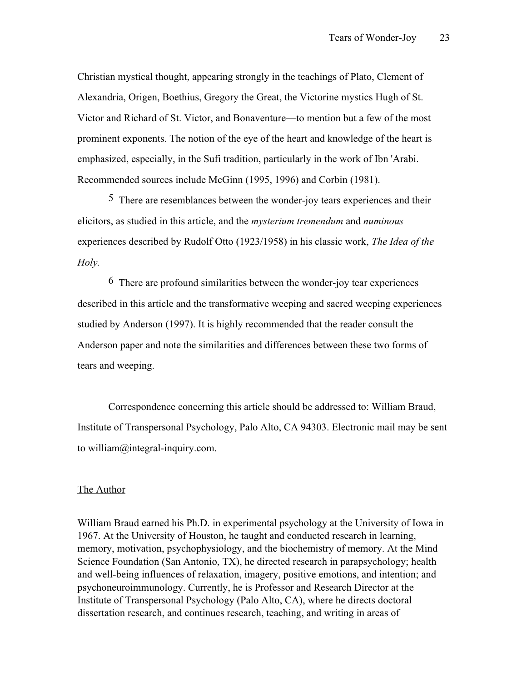Christian mystical thought, appearing strongly in the teachings of Plato, Clement of Alexandria, Origen, Boethius, Gregory the Great, the Victorine mystics Hugh of St. Victor and Richard of St. Victor, and Bonaventure—to mention but a few of the most prominent exponents. The notion of the eye of the heart and knowledge of the heart is emphasized, especially, in the Sufi tradition, particularly in the work of Ibn 'Arabi. Recommended sources include McGinn (1995, 1996) and Corbin (1981).

5 There are resemblances between the wonder-joy tears experiences and their elicitors, as studied in this article, and the *mysterium tremendum* and *numinous* experiences described by Rudolf Otto (1923/1958) in his classic work, *The Idea of the Holy.*

6 There are profound similarities between the wonder-joy tear experiences described in this article and the transformative weeping and sacred weeping experiences studied by Anderson (1997). It is highly recommended that the reader consult the Anderson paper and note the similarities and differences between these two forms of tears and weeping.

Correspondence concerning this article should be addressed to: William Braud, Institute of Transpersonal Psychology, Palo Alto, CA 94303. Electronic mail may be sent to william@integral-inquiry.com.

### The Author

William Braud earned his Ph.D. in experimental psychology at the University of Iowa in 1967. At the University of Houston, he taught and conducted research in learning, memory, motivation, psychophysiology, and the biochemistry of memory. At the Mind Science Foundation (San Antonio, TX), he directed research in parapsychology; health and well-being influences of relaxation, imagery, positive emotions, and intention; and psychoneuroimmunology. Currently, he is Professor and Research Director at the Institute of Transpersonal Psychology (Palo Alto, CA), where he directs doctoral dissertation research, and continues research, teaching, and writing in areas of